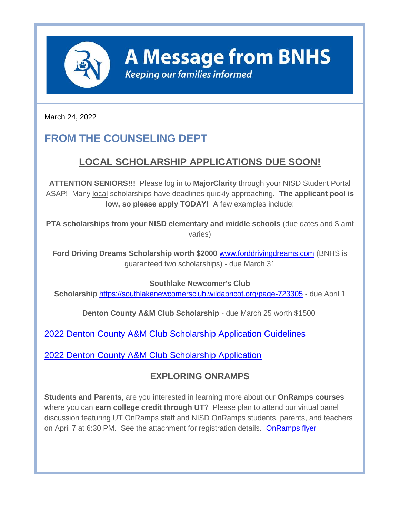

**A Message from BNHS** 

**Keeping our families informed** 

March 24, 2022

# **FROM THE COUNSELING DEPT**

## **LOCAL SCHOLARSHIP APPLICATIONS DUE SOON!**

**ATTENTION SENIORS!!!** Please log in to **MajorClarity** through your NISD Student Portal ASAP! Many local scholarships have deadlines quickly approaching. **The applicant pool is low, so please apply TODAY!** A few examples include:

**PTA scholarships from your NISD elementary and middle schools** (due dates and \$ amt varies)

**Ford Driving Dreams Scholarship worth \$2000** [www.forddrivingdreams.com](http://track.spe.schoolmessenger.com/f/a/UVe8R65oNbj-OtS4b4cnlQ~~/AAAAAQA~/RgRkHgGBP0RWaHR0cHM6Ly9wcm90ZWN0LXVzLm1pbWVjYXN0LmNvbS9zL0Zfa0ZDbVpqNFpTQW5CbVFmT0xlQ2c_ZG9tYWluPWZvcmRkcml2aW5nZHJlYW1zLmNvbS9XB3NjaG9vbG1CCmIqAc48Yiilu8BSE3BzbWl0aDA0QG5pc2R0eC5vcmdYBAAAAAE~) (BNHS is guaranteed two scholarships) - due March 31

**Southlake Newcomer's Club** 

**Scholarship** <https://southlakenewcomersclub.wildapricot.org/page-723305> - due April 1

**Denton County A&M Club Scholarship** - due March 25 worth \$1500

[2022 Denton County A&M Club Scholarship Application Guidelines](http://track.spe.schoolmessenger.com/f/a/4kbigLbJs4yc2gkcC40NMQ~~/AAAAAQA~/RgRkHgGBP0RPaHR0cHM6Ly9wcm90ZWN0LXVzLm1pbWVjYXN0LmNvbS9zL1MzMWtDbFlnNFljQXJtbHljR1BOMGI_ZG9tYWluPWRvY3MuZ29vZ2xlLmNvbVcHc2Nob29sbUIKYioBzjxiKKW7wFITcHNtaXRoMDRAbmlzZHR4Lm9yZ1gEAAAAAQ~~)

[2022 Denton County A&M Club Scholarship Application](http://track.spe.schoolmessenger.com/f/a/FNkZPf-Tuvk2DmKFqc6Vpw~~/AAAAAQA~/RgRkHgGBP0RJaHR0cHM6Ly9wcm90ZWN0LXVzLm1pbWVjYXN0LmNvbS9zL3Q5ZUpDbVpqNFpTQXg4cVpjT2JJQzg_ZG9tYWluPWZvcm1zLmdsZVcHc2Nob29sbUIKYioBzjxiKKW7wFITcHNtaXRoMDRAbmlzZHR4Lm9yZ1gEAAAAAQ~~)

#### **EXPLORING ONRAMPS**

**Students and Parents**, are you interested in learning more about our **OnRamps courses** where you can **earn college credit through UT**? Please plan to attend our virtual panel discussion featuring UT OnRamps staff and NISD OnRamps students, parents, and teachers on April 7 at 6:30 PM. See the attachment for registration details. [OnRamps flyer](http://track.spe.schoolmessenger.com/f/a/QSIcVOOmObXvIZsZN5Qzng~~/AAAAAQA~/RgRkHgGBP0R1aHR0cHM6Ly9tc2cuc2Nob29sbWVzc2VuZ2VyLmNvbS9tLz9zPXUzaHRDLWZ1NzlzJm1hbD1jYTdiZDQwN2E4NDNhNmIwYWE1ODE3N2ZjY2MzY2FiN2EyZjhjYTcxZmIxYTliNTE2MDY2MTc5Mjc4NTcwMzgxVwdzY2hvb2xtQgpiKgHOPGIopbvAUhNwc21pdGgwNEBuaXNkdHgub3JnWAQAAAAB)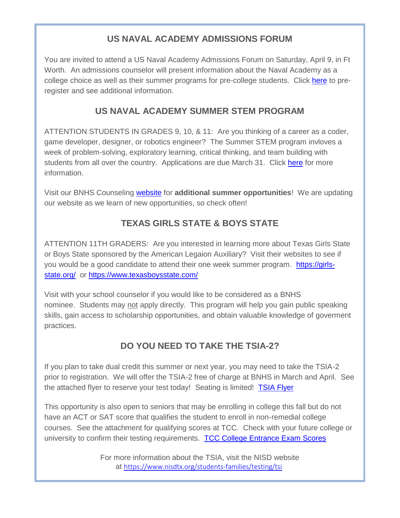#### **US NAVAL ACADEMY ADMISSIONS FORUM**

You are invited to attend a US Naval Academy Admissions Forum on Saturday, April 9, in Ft Worth. An admissions counselor will present information about the Naval Academy as a college choice as well as their summer programs for pre-college students. Click [here](http://track.spe.schoolmessenger.com/f/a/67s_QRGKaqWncxD6r1TswQ~~/AAAAAQA~/RgRkHgGBP0R1aHR0cHM6Ly9kb2NzLmdvb2dsZS5jb20vZm9ybXMvZC8xWk9nNUdjSm1uaWRQS2FRd21Dc1JiQXFhUzd1OF9xVWMzdDk4dWFCLVVzUS92aWV3Zm9ybT90cz02MjIyMzlmMSZlZGl0X3JlcXVlc3RlZD10cnVlVwdzY2hvb2xtQgpiKgHOPGIopbvAUhNwc21pdGgwNEBuaXNkdHgub3JnWAQAAAAB) to preregister and see additional information.

#### **US NAVAL ACADEMY SUMMER STEM PROGRAM**

ATTENTION STUDENTS IN GRADES 9, 10, & 11: Are you thinking of a career as a coder, game developer, designer, or robotics engineer? The Summer STEM program invloves a week of problem-solving, exploratory learning, critical thinking, and team building with students from all over the country. Applications are due March 31. Click [here](http://track.spe.schoolmessenger.com/f/a/FUI-3KVcxQp8pIfNCjYnxg~~/AAAAAQA~/RgRkHgGBP0RIaHR0cHM6Ly93d3cudXNuYS5lZHUvQWRtaXNzaW9ucy9Qcm9ncmFtcy9TVEVNLnBocCNmbmR0bi1wYW5lbDEtQXR0ZW5kaW5nVwdzY2hvb2xtQgpiKgHOPGIopbvAUhNwc21pdGgwNEBuaXNkdHgub3JnWAQAAAAB) for more information.

Visit our BNHS Counseling [website](http://track.spe.schoolmessenger.com/f/a/yGIrfWRHbMc3fpTEIutDow~~/AAAAAQA~/RgRkHgGBP0Q3aHR0cHM6Ly9ibmhzLm5pc2R0eC5vcmcvY291bnNlbGluZy9zdW1tZXItb3Bwb3J0dW5pdGllc1cHc2Nob29sbUIKYioBzjxiKKW7wFITcHNtaXRoMDRAbmlzZHR4Lm9yZ1gEAAAAAQ~~) for **additional summer opportunities**! We are updating our website as we learn of new opportunities, so check often!

#### **TEXAS GIRLS STATE & BOYS STATE**

ATTENTION 11TH GRADERS: Are you interested in learning more about Texas Girls State or Boys State sponsored by the American Legaion Auxiliary? Visit their websites to see if you would be a good candidate to attend their one week summer program. [https://girls](http://track.spe.schoolmessenger.com/f/a/d3PP6m9h3zjrSHZYmK78Aw~~/AAAAAQA~/RgRkHgGBP0RQaHR0cHM6Ly9wcm90ZWN0LXVzLm1pbWVjYXN0LmNvbS9zL1JQa0pDRGtvbmtDbjhZMFBGV1FWWm4_ZG9tYWluPWdpcmxzLXN0YXRlLm9yZy9XB3NjaG9vbG1CCmIqAc48Yiilu8BSE3BzbWl0aDA0QG5pc2R0eC5vcmdYBAAAAAE~)[state.org/](http://track.spe.schoolmessenger.com/f/a/d3PP6m9h3zjrSHZYmK78Aw~~/AAAAAQA~/RgRkHgGBP0RQaHR0cHM6Ly9wcm90ZWN0LXVzLm1pbWVjYXN0LmNvbS9zL1JQa0pDRGtvbmtDbjhZMFBGV1FWWm4_ZG9tYWluPWdpcmxzLXN0YXRlLm9yZy9XB3NjaG9vbG1CCmIqAc48Yiilu8BSE3BzbWl0aDA0QG5pc2R0eC5vcmdYBAAAAAE~) or<https://www.texasboysstate.com/>

Visit with your school counselor if you would like to be considered as a BNHS nominee. Students may not apply directly. This program will help you gain public speaking skills, gain access to scholarship opportunities, and obtain valuable knowledge of goverment practices.

### **DO YOU NEED TO TAKE THE TSIA-2?**

If you plan to take dual credit this summer or next year, you may need to take the TSIA-2 prior to registration. We will offer the TSIA-2 free of charge at BNHS in March and April. See the attached flyer to reserve your test today! Seating is limited! [TSIA Flyer](http://track.spe.schoolmessenger.com/f/a/l2Tad-9N9lFzOM9K4YbV2Q~~/AAAAAQA~/RgRkHgGBP0R1aHR0cHM6Ly9tc2cuc2Nob29sbWVzc2VuZ2VyLmNvbS9tLz9zPXUzaHRDLWZ1NzlzJm1hbD0xNjViMzA4ODVhNWI1ZWZjMzNhNmU1NjhiYzU3NDU2NjkyZjY5ZTFjYTFiMGRhNmYzNTUwMzVhODM0Y2QzMWNmVwdzY2hvb2xtQgpiKgHOPGIopbvAUhNwc21pdGgwNEBuaXNkdHgub3JnWAQAAAAB)

This opportunity is also open to seniors that may be enrolling in college this fall but do not have an ACT or SAT score that qualifies the student to enroll in non-remedial college courses. See the attachment for qualifying scores at TCC. Check with your future college or university to confirm their testing requirements. [TCC College Entrance Exam Scores](http://track.spe.schoolmessenger.com/f/a/D1lUuZx95ZM_JgzAf8Dngw~~/AAAAAQA~/RgRkHgGBP0R1aHR0cHM6Ly9tc2cuc2Nob29sbWVzc2VuZ2VyLmNvbS9tLz9zPXUzaHRDLWZ1NzlzJm1hbD1lNzA0ODhmNmVjNGI0YzYxY2Y5N2Y0N2I0Mzg1NWNlY2Q5YzY0ZTNlMTdlNTgyOGU2MTVkYjk3Njc2NGJjMGYzVwdzY2hvb2xtQgpiKgHOPGIopbvAUhNwc21pdGgwNEBuaXNkdHgub3JnWAQAAAAB)

> For more information about the TSIA, visit the NISD website at [https://www.nisdtx.org/students-families/testing/tsi](http://track.spe.schoolmessenger.com/f/a/RFHED_bt8-ueXZr77wy12Q~~/AAAAAQA~/RgRkHgGBP0Q0aHR0cHM6Ly93d3cubmlzZHR4Lm9yZy9zdHVkZW50cy1mYW1pbGllcy90ZXN0aW5nL3RzaVcHc2Nob29sbUIKYioBzjxiKKW7wFITcHNtaXRoMDRAbmlzZHR4Lm9yZ1gEAAAAAQ~~)